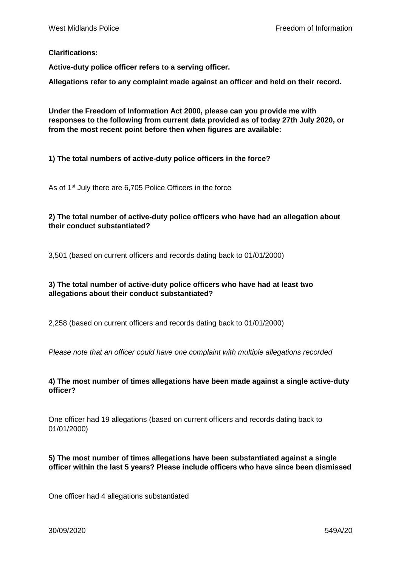#### **Clarifications:**

**Active-duty police officer refers to a serving officer.**

**Allegations refer to any complaint made against an officer and held on their record.**

**Under the Freedom of Information Act 2000, please can you provide me with responses to the following from current data provided as of today 27th July 2020, or from the most recent point before then when figures are available:**

**1) The total numbers of active-duty police officers in the force?**

As of 1<sup>st</sup> July there are 6,705 Police Officers in the force

## **2) The total number of active-duty police officers who have had an allegation about their conduct substantiated?**

3,501 (based on current officers and records dating back to 01/01/2000)

# **3) The total number of active-duty police officers who have had at least two allegations about their conduct substantiated?**

2,258 (based on current officers and records dating back to 01/01/2000)

*Please note that an officer could have one complaint with multiple allegations recorded* 

## **4) The most number of times allegations have been made against a single active-duty officer?**

One officer had 19 allegations (based on current officers and records dating back to 01/01/2000)

## **5) The most number of times allegations have been substantiated against a single officer within the last 5 years? Please include officers who have since been dismissed**

One officer had 4 allegations substantiated